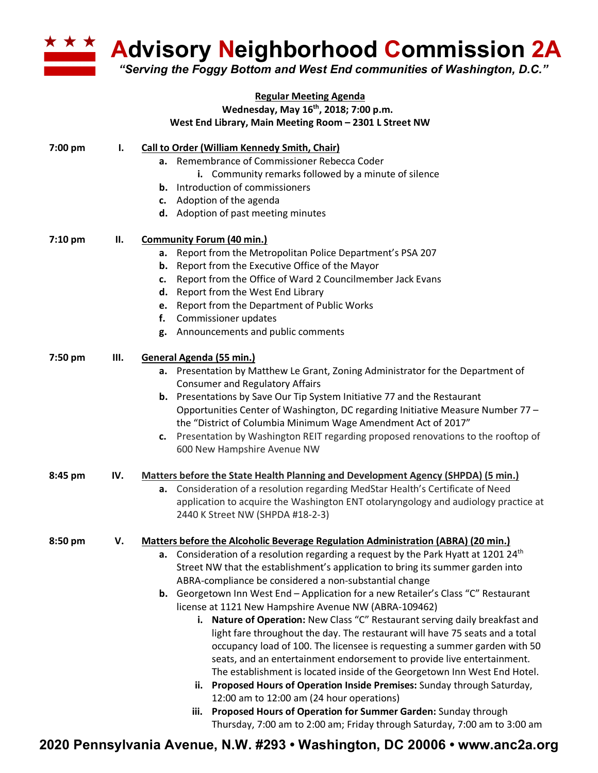

**Advisory Neighborhood Commission 2A**

*"Serving the Foggy Bottom and West End communities of Washington, D.C."*

|         |     | <b>Regular Meeting Agenda</b>                                                                                          |
|---------|-----|------------------------------------------------------------------------------------------------------------------------|
|         |     | Wednesday, May 16 <sup>th</sup> , 2018; 7:00 p.m.                                                                      |
|         |     | West End Library, Main Meeting Room - 2301 L Street NW                                                                 |
| 7:00 pm | Ι.  | <b>Call to Order (William Kennedy Smith, Chair)</b>                                                                    |
|         |     | a. Remembrance of Commissioner Rebecca Coder                                                                           |
|         |     | i. Community remarks followed by a minute of silence                                                                   |
|         |     | <b>b.</b> Introduction of commissioners                                                                                |
|         |     | c. Adoption of the agenda                                                                                              |
|         |     | d. Adoption of past meeting minutes                                                                                    |
| 7:10 pm | П.  | <b>Community Forum (40 min.)</b>                                                                                       |
|         |     |                                                                                                                        |
|         |     | a. Report from the Metropolitan Police Department's PSA 207                                                            |
|         |     | <b>b.</b> Report from the Executive Office of the Mayor                                                                |
|         |     | Report from the Office of Ward 2 Councilmember Jack Evans<br>c.                                                        |
|         |     | d. Report from the West End Library                                                                                    |
|         |     | e. Report from the Department of Public Works                                                                          |
|         |     | Commissioner updates<br>f.                                                                                             |
|         |     | g. Announcements and public comments                                                                                   |
| 7:50 pm | Ш.  | General Agenda (55 min.)                                                                                               |
|         |     | a. Presentation by Matthew Le Grant, Zoning Administrator for the Department of                                        |
|         |     | <b>Consumer and Regulatory Affairs</b>                                                                                 |
|         |     | <b>b.</b> Presentations by Save Our Tip System Initiative 77 and the Restaurant                                        |
|         |     | Opportunities Center of Washington, DC regarding Initiative Measure Number 77 -                                        |
|         |     | the "District of Columbia Minimum Wage Amendment Act of 2017"                                                          |
|         |     | c. Presentation by Washington REIT regarding proposed renovations to the rooftop of                                    |
|         |     | 600 New Hampshire Avenue NW                                                                                            |
| 8:45 pm | IV. | <b>Matters before the State Health Planning and Development Agency (SHPDA) (5 min.)</b>                                |
|         |     | a. Consideration of a resolution regarding MedStar Health's Certificate of Need                                        |
|         |     | application to acquire the Washington ENT otolaryngology and audiology practice at                                     |
|         |     | 2440 K Street NW (SHPDA #18-2-3)                                                                                       |
| 8:50 pm | V.  | <b>Matters before the Alcoholic Beverage Regulation Administration (ABRA) (20 min.)</b>                                |
|         |     | <b>a.</b> Consideration of a resolution regarding a request by the Park Hyatt at 1201 24 <sup>th</sup>                 |
|         |     | Street NW that the establishment's application to bring its summer garden into                                         |
|         |     | ABRA-compliance be considered a non-substantial change                                                                 |
|         |     | b. Georgetown Inn West End - Application for a new Retailer's Class "C" Restaurant                                     |
|         |     | license at 1121 New Hampshire Avenue NW (ABRA-109462)                                                                  |
|         |     | Nature of Operation: New Class "C" Restaurant serving daily breakfast and<br>i.                                        |
|         |     | light fare throughout the day. The restaurant will have 75 seats and a total                                           |
|         |     | occupancy load of 100. The licensee is requesting a summer garden with 50                                              |
|         |     |                                                                                                                        |
|         |     | seats, and an entertainment endorsement to provide live entertainment.                                                 |
|         |     | The establishment is located inside of the Georgetown Inn West End Hotel.                                              |
|         |     | ii. Proposed Hours of Operation Inside Premises: Sunday through Saturday,<br>12:00 am to 12:00 am (24 hour operations) |
|         |     | Proposed Hours of Operation for Summer Garden: Sunday through<br>iii.                                                  |
|         |     | Thursday, 7:00 am to 2:00 am; Friday through Saturday, 7:00 am to 3:00 am                                              |

**2020 Pennsylvania Avenue, N.W. #293 • Washington, DC 20006 • www.anc2a.org**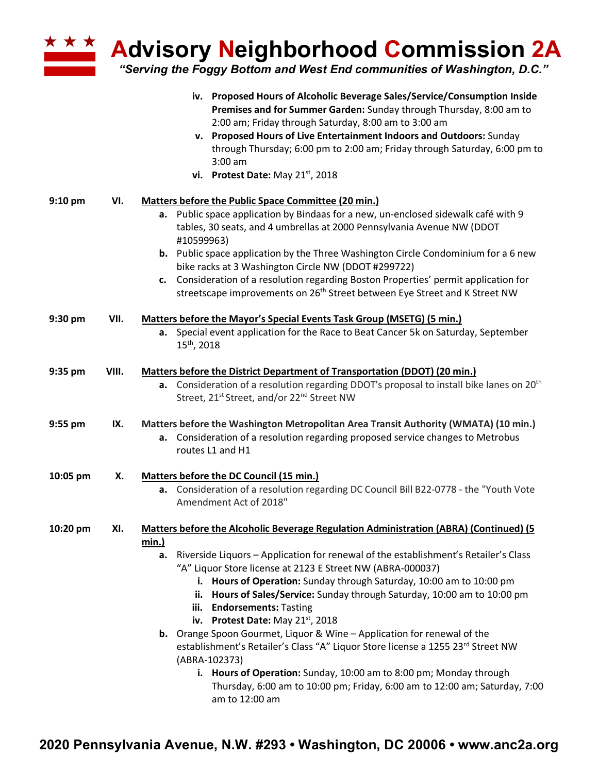**Advisory Neighborhood Commission 2A**

*"Serving the Foggy Bottom and West End communities of Washington, D.C."*

|           |       | iv. Proposed Hours of Alcoholic Beverage Sales/Service/Consumption Inside<br>Premises and for Summer Garden: Sunday through Thursday, 8:00 am to<br>2:00 am; Friday through Saturday, 8:00 am to 3:00 am<br>v. Proposed Hours of Live Entertainment Indoors and Outdoors: Sunday<br>through Thursday; 6:00 pm to 2:00 am; Friday through Saturday, 6:00 pm to<br>$3:00$ am<br>vi. Protest Date: May 21 <sup>st</sup> , 2018                                                                                                                                                                                                                                                                                                                                                                                                                         |
|-----------|-------|-----------------------------------------------------------------------------------------------------------------------------------------------------------------------------------------------------------------------------------------------------------------------------------------------------------------------------------------------------------------------------------------------------------------------------------------------------------------------------------------------------------------------------------------------------------------------------------------------------------------------------------------------------------------------------------------------------------------------------------------------------------------------------------------------------------------------------------------------------|
| $9:10$ pm | VI.   | <b>Matters before the Public Space Committee (20 min.)</b><br>a. Public space application by Bindaas for a new, un-enclosed sidewalk café with 9<br>tables, 30 seats, and 4 umbrellas at 2000 Pennsylvania Avenue NW (DDOT<br>#10599963)<br><b>b.</b> Public space application by the Three Washington Circle Condominium for a 6 new<br>bike racks at 3 Washington Circle NW (DDOT #299722)<br>c. Consideration of a resolution regarding Boston Properties' permit application for<br>streetscape improvements on 26 <sup>th</sup> Street between Eye Street and K Street NW                                                                                                                                                                                                                                                                      |
| 9:30 pm   | VII.  | Matters before the Mayor's Special Events Task Group (MSETG) (5 min.)<br>a. Special event application for the Race to Beat Cancer 5k on Saturday, September<br>15 <sup>th</sup> , 2018                                                                                                                                                                                                                                                                                                                                                                                                                                                                                                                                                                                                                                                              |
| 9:35 pm   | VIII. | Matters before the District Department of Transportation (DDOT) (20 min.)<br>a. Consideration of a resolution regarding DDOT's proposal to install bike lanes on 20 <sup>th</sup><br>Street, 21 <sup>st</sup> Street, and/or 22 <sup>nd</sup> Street NW                                                                                                                                                                                                                                                                                                                                                                                                                                                                                                                                                                                             |
| 9:55 pm   | IX.   | Matters before the Washington Metropolitan Area Transit Authority (WMATA) (10 min.)<br>a. Consideration of a resolution regarding proposed service changes to Metrobus<br>routes L1 and H1                                                                                                                                                                                                                                                                                                                                                                                                                                                                                                                                                                                                                                                          |
| 10:05 pm  | Х.    | <b>Matters before the DC Council (15 min.)</b><br>a. Consideration of a resolution regarding DC Council Bill B22-0778 - the "Youth Vote<br>Amendment Act of 2018"                                                                                                                                                                                                                                                                                                                                                                                                                                                                                                                                                                                                                                                                                   |
| 10:20 pm  | XI.   | Matters before the Alcoholic Beverage Regulation Administration (ABRA) (Continued) (5<br><u>min.)</u><br>Riverside Liquors - Application for renewal of the establishment's Retailer's Class<br>а.<br>"A" Liquor Store license at 2123 E Street NW (ABRA-000037)<br>i. Hours of Operation: Sunday through Saturday, 10:00 am to 10:00 pm<br>ii. Hours of Sales/Service: Sunday through Saturday, 10:00 am to 10:00 pm<br>iii. Endorsements: Tasting<br>iv. Protest Date: May 21st, 2018<br><b>b.</b> Orange Spoon Gourmet, Liquor & Wine - Application for renewal of the<br>establishment's Retailer's Class "A" Liquor Store license a 1255 23rd Street NW<br>(ABRA-102373)<br>i. Hours of Operation: Sunday, 10:00 am to 8:00 pm; Monday through<br>Thursday, 6:00 am to 10:00 pm; Friday, 6:00 am to 12:00 am; Saturday, 7:00<br>am to 12:00 am |